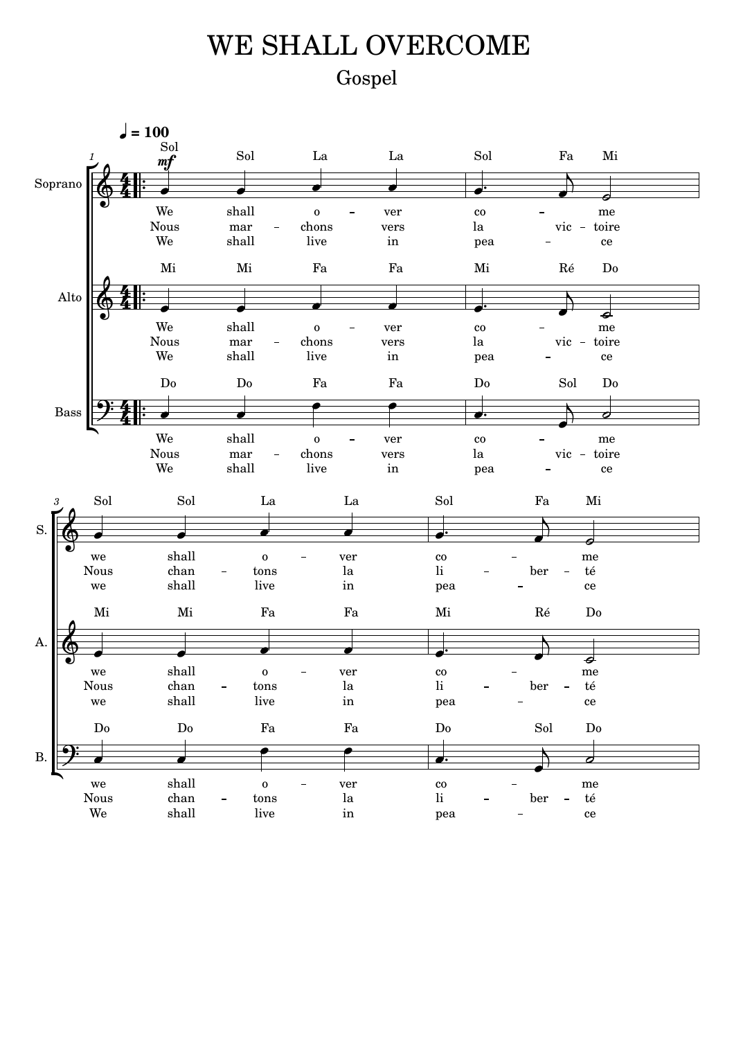## Gospel WE SHALL OVERCOME

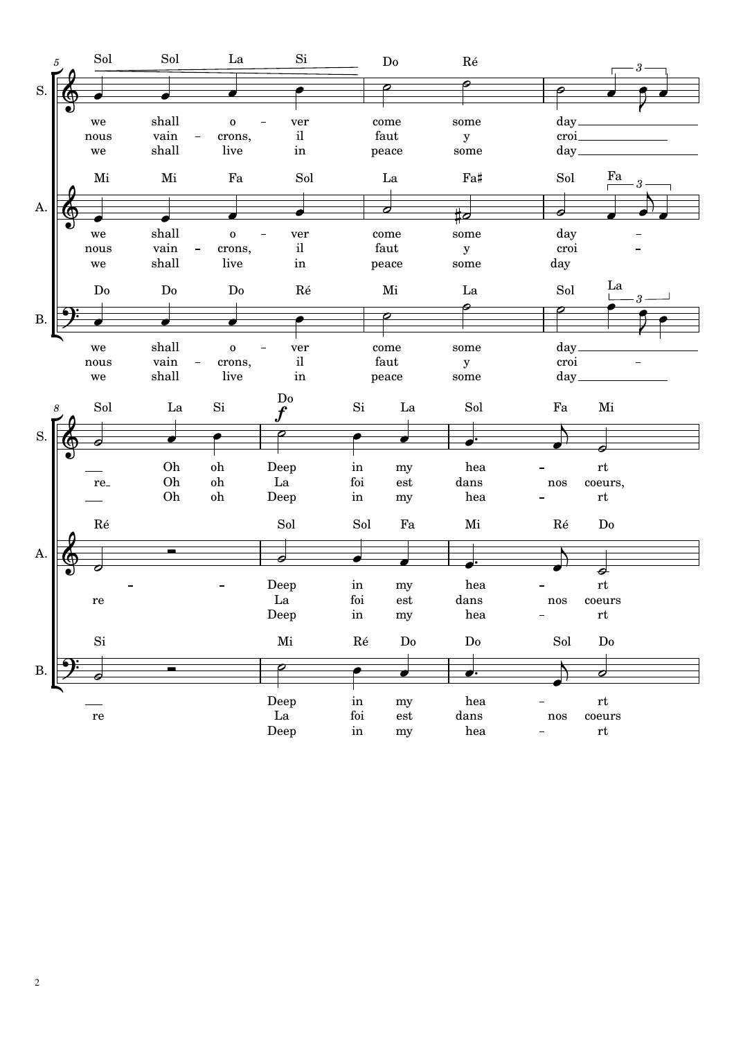